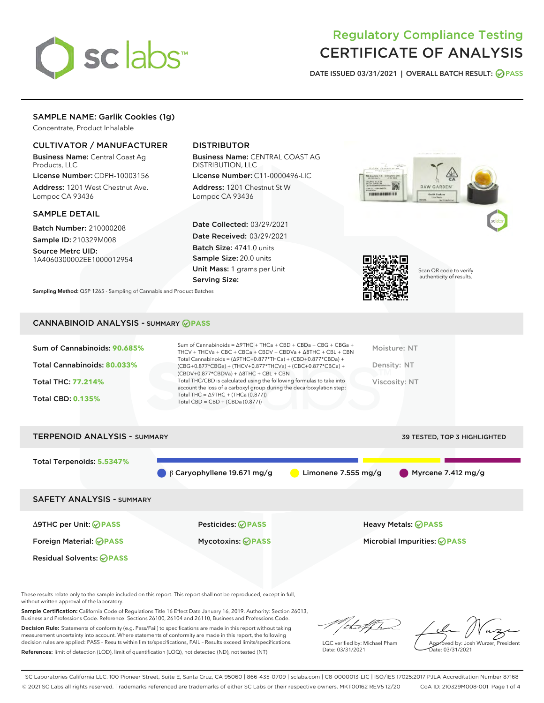

# Regulatory Compliance Testing CERTIFICATE OF ANALYSIS

DATE ISSUED 03/31/2021 | OVERALL BATCH RESULT: @ PASS

# SAMPLE NAME: Garlik Cookies (1g)

Concentrate, Product Inhalable

# CULTIVATOR / MANUFACTURER

Business Name: Central Coast Ag Products, LLC

License Number: CDPH-10003156 Address: 1201 West Chestnut Ave. Lompoc CA 93436

#### SAMPLE DETAIL

Batch Number: 210000208 Sample ID: 210329M008

Source Metrc UID: 1A4060300002EE1000012954

# DISTRIBUTOR

Business Name: CENTRAL COAST AG DISTRIBUTION, LLC

License Number: C11-0000496-LIC Address: 1201 Chestnut St W Lompoc CA 93436

Date Collected: 03/29/2021 Date Received: 03/29/2021 Batch Size: 4741.0 units Sample Size: 20.0 units Unit Mass: 1 grams per Unit Serving Size:





Scan QR code to verify authenticity of results.

Sampling Method: QSP 1265 - Sampling of Cannabis and Product Batches

## CANNABINOID ANALYSIS - SUMMARY **PASS**

| Total THC = $\triangle$ 9THC + (THCa (0.877))<br><b>Total CBD: 0.135%</b><br>Total CBD = $CBD + (CBDa (0.877))$ | Sum of Cannabinoids: 90.685%<br>Total Cannabinoids: 80.033%<br>Total THC: 77.214% | Sum of Cannabinoids = Δ9THC + THCa + CBD + CBDa + CBG + CBGa +<br>THCV + THCVa + CBC + CBCa + CBDV + CBDVa + $\Delta$ 8THC + CBL + CBN<br>Total Cannabinoids = $(\Delta$ 9THC+0.877*THCa) + (CBD+0.877*CBDa) +<br>(CBG+0.877*CBGa) + (THCV+0.877*THCVa) + (CBC+0.877*CBCa) +<br>$(CBDV+0.877*CBDVa) + \Delta 8THC + CBL + CBN$<br>Total THC/CBD is calculated using the following formulas to take into | Moisture: NT<br>Density: NT<br>Viscosity: NT |
|-----------------------------------------------------------------------------------------------------------------|-----------------------------------------------------------------------------------|---------------------------------------------------------------------------------------------------------------------------------------------------------------------------------------------------------------------------------------------------------------------------------------------------------------------------------------------------------------------------------------------------------|----------------------------------------------|
|                                                                                                                 |                                                                                   | account the loss of a carboxyl group during the decarboxylation step:                                                                                                                                                                                                                                                                                                                                   |                                              |

TERPENOID ANALYSIS - SUMMARY 39 TESTED, TOP 3 HIGHLIGHTED, TOP 3 HIGHLIGHTED, TOP 3 HIGHLIGHTED, TOP 3 HIGHLIGHTED,

| I ERPENUID ANAL I 313 - SUMMARY  |                                   |                     | <b>39 IESIED, TOP 3 HIGHLIGHTED</b> |
|----------------------------------|-----------------------------------|---------------------|-------------------------------------|
| Total Terpenoids: 5.5347%        | $\beta$ Caryophyllene 19.671 mg/g | Limonene 7.555 mg/g | Myrcene 7.412 mg/g                  |
| <b>SAFETY ANALYSIS - SUMMARY</b> |                                   |                     |                                     |
| ∆9THC per Unit: ⊘PASS            | Pesticides: <b>⊘PASS</b>          |                     | <b>Heavy Metals: ⊘ PASS</b>         |
| Foreign Material: <b>⊘ PASS</b>  | <b>Mycotoxins: ⊘PASS</b>          |                     | Microbial Impurities: <b>OPASS</b>  |
| <b>Residual Solvents: ⊘PASS</b>  |                                   |                     |                                     |

These results relate only to the sample included on this report. This report shall not be reproduced, except in full, without written approval of the laboratory.

Sample Certification: California Code of Regulations Title 16 Effect Date January 16, 2019. Authority: Section 26013, Business and Professions Code. Reference: Sections 26100, 26104 and 26110, Business and Professions Code.

Decision Rule: Statements of conformity (e.g. Pass/Fail) to specifications are made in this report without taking measurement uncertainty into account. Where statements of conformity are made in this report, the following decision rules are applied: PASS – Results within limits/specifications, FAIL – Results exceed limits/specifications. References: limit of detection (LOD), limit of quantification (LOQ), not detected (ND), not tested (NT)

that f In

LQC verified by: Michael Pham Date: 03/31/2021

Approved by: Josh Wurzer, President ate: 03/31/2021

SC Laboratories California LLC. 100 Pioneer Street, Suite E, Santa Cruz, CA 95060 | 866-435-0709 | sclabs.com | C8-0000013-LIC | ISO/IES 17025:2017 PJLA Accreditation Number 87168 © 2021 SC Labs all rights reserved. Trademarks referenced are trademarks of either SC Labs or their respective owners. MKT00162 REV5 12/20 CoA ID: 210329M008-001 Page 1 of 4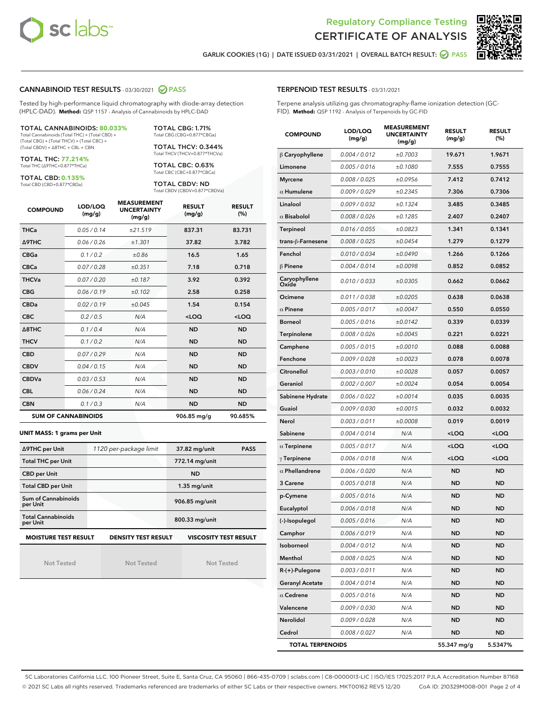



GARLIK COOKIES (1G) | DATE ISSUED 03/31/2021 | OVERALL BATCH RESULT: 2 PASS

## CANNABINOID TEST RESULTS - 03/30/2021 2 PASS

Tested by high-performance liquid chromatography with diode-array detection (HPLC-DAD). **Method:** QSP 1157 - Analysis of Cannabinoids by HPLC-DAD

#### TOTAL CANNABINOIDS: **80.033%**

Total Cannabinoids (Total THC) + (Total CBD) + (Total CBG) + (Total THCV) + (Total CBC) + (Total CBDV) + ∆8THC + CBL + CBN

TOTAL THC: **77.214%** Total THC (∆9THC+0.877\*THCa)

TOTAL CBD: **0.135%**

Total CBD (CBD+0.877\*CBDa)

TOTAL CBG: 1.71% Total CBG (CBG+0.877\*CBGa)

TOTAL THCV: 0.344% Total THCV (THCV+0.877\*THCVa)

TOTAL CBC: 0.63% Total CBC (CBC+0.877\*CBCa)

TOTAL CBDV: ND Total CBDV (CBDV+0.877\*CBDVa)

| <b>COMPOUND</b>  | LOD/LOQ<br>(mg/g)          | <b>MEASUREMENT</b><br><b>UNCERTAINTY</b><br>(mg/g) | <b>RESULT</b><br>(mg/g) | <b>RESULT</b><br>(%) |
|------------------|----------------------------|----------------------------------------------------|-------------------------|----------------------|
| <b>THCa</b>      | 0.05 / 0.14                | ±21.519                                            | 837.31                  | 83.731               |
| <b>A9THC</b>     | 0.06 / 0.26                | ±1.301                                             | 37.82                   | 3.782                |
| <b>CBGa</b>      | 0.1 / 0.2                  | ±0.86                                              | 16.5                    | 1.65                 |
| <b>CBCa</b>      | 0.07/0.28                  | ±0.351                                             | 7.18                    | 0.718                |
| <b>THCVa</b>     | 0.07/0.20                  | ±0.187                                             | 3.92                    | 0.392                |
| <b>CBG</b>       | 0.06/0.19                  | ±0.102                                             | 2.58                    | 0.258                |
| <b>CBDa</b>      | 0.02/0.19                  | ±0.045                                             | 1.54                    | 0.154                |
| <b>CBC</b>       | 0.2 / 0.5                  | N/A                                                | $<$ LOQ                 | $<$ LOQ              |
| $\triangle$ 8THC | 0.1/0.4                    | N/A                                                | <b>ND</b>               | <b>ND</b>            |
| <b>THCV</b>      | 0.1/0.2                    | N/A                                                | <b>ND</b>               | <b>ND</b>            |
| <b>CBD</b>       | 0.07/0.29                  | N/A                                                | <b>ND</b>               | <b>ND</b>            |
| <b>CBDV</b>      | 0.04 / 0.15                | N/A                                                | <b>ND</b>               | <b>ND</b>            |
| <b>CBDVa</b>     | 0.03/0.53                  | N/A                                                | <b>ND</b>               | <b>ND</b>            |
| <b>CBL</b>       | 0.06 / 0.24                | N/A                                                | <b>ND</b>               | <b>ND</b>            |
| <b>CBN</b>       | 0.1/0.3                    | N/A                                                | <b>ND</b>               | <b>ND</b>            |
|                  | <b>SUM OF CANNABINOIDS</b> |                                                    | 906.85 mg/g             | 90.685%              |

#### **UNIT MASS: 1 grams per Unit**

| ∆9THC per Unit                        | 1120 per-package limit     | 37.82 mg/unit<br><b>PASS</b> |
|---------------------------------------|----------------------------|------------------------------|
| <b>Total THC per Unit</b>             |                            | 772.14 mg/unit               |
| <b>CBD per Unit</b>                   |                            | <b>ND</b>                    |
| <b>Total CBD per Unit</b>             |                            | $1.35$ mg/unit               |
| Sum of Cannabinoids<br>per Unit       |                            | 906.85 mg/unit               |
| <b>Total Cannabinoids</b><br>per Unit |                            | 800.33 mg/unit               |
| <b>MOISTURE TEST RESULT</b>           | <b>DENSITY TEST RESULT</b> | <b>VISCOSITY TEST RESULT</b> |

Not Tested

Not Tested

Not Tested

#### TERPENOID TEST RESULTS - 03/31/2021

Terpene analysis utilizing gas chromatography-flame ionization detection (GC-FID). **Method:** QSP 1192 - Analysis of Terpenoids by GC-FID

| <b>COMPOUND</b>         | LOD/LOQ<br>(mg/g) | <b>MEASUREMENT</b><br><b>UNCERTAINTY</b><br>(mg/g) | <b>RESULT</b><br>(mg/g)                         | <b>RESULT</b><br>(%) |
|-------------------------|-------------------|----------------------------------------------------|-------------------------------------------------|----------------------|
| $\beta$ Caryophyllene   | 0.004 / 0.012     | ±0.7003                                            | 19.671                                          | 1.9671               |
| Limonene                | 0.005 / 0.016     | ±0.1080                                            | 7.555                                           | 0.7555               |
| <b>Myrcene</b>          | 0.008 / 0.025     | ±0.0956                                            | 7.412                                           | 0.7412               |
| $\alpha$ Humulene       | 0.009 / 0.029     | ±0.2345                                            | 7.306                                           | 0.7306               |
| Linalool                | 0.009 / 0.032     | ±0.1324                                            | 3.485                                           | 0.3485               |
| $\alpha$ Bisabolol      | 0.008 / 0.026     | ±0.1285                                            | 2.407                                           | 0.2407               |
| <b>Terpineol</b>        | 0.016 / 0.055     | ±0.0823                                            | 1.341                                           | 0.1341               |
| trans-ß-Farnesene       | 0.008 / 0.025     | ±0.0454                                            | 1.279                                           | 0.1279               |
| Fenchol                 | 0.010 / 0.034     | ±0.0490                                            | 1.266                                           | 0.1266               |
| $\beta$ Pinene          | 0.004 / 0.014     | ±0.0098                                            | 0.852                                           | 0.0852               |
| Caryophyllene<br>Oxide  | 0.010 / 0.033     | ±0.0305                                            | 0.662                                           | 0.0662               |
| Ocimene                 | 0.011 / 0.038     | ±0.0205                                            | 0.638                                           | 0.0638               |
| $\alpha$ Pinene         | 0.005 / 0.017     | ±0.0047                                            | 0.550                                           | 0.0550               |
| <b>Borneol</b>          | 0.005 / 0.016     | ±0.0142                                            | 0.339                                           | 0.0339               |
| Terpinolene             | 0.008 / 0.026     | ±0.0045                                            | 0.221                                           | 0.0221               |
| Camphene                | 0.005 / 0.015     | ±0.0010                                            | 0.088                                           | 0.0088               |
| Fenchone                | 0.009 / 0.028     | ±0.0023                                            | 0.078                                           | 0.0078               |
| Citronellol             | 0.003 / 0.010     | ±0.0028                                            | 0.057                                           | 0.0057               |
| Geraniol                | 0.002 / 0.007     | ±0.0024                                            | 0.054                                           | 0.0054               |
| Sabinene Hydrate        | 0.006 / 0.022     | ±0.0014                                            | 0.035                                           | 0.0035               |
| Guaiol                  | 0.009 / 0.030     | ±0.0015                                            | 0.032                                           | 0.0032               |
| Nerol                   | 0.003 / 0.011     | ±0.0008                                            | 0.019                                           | 0.0019               |
| Sabinene                | 0.004 / 0.014     | N/A                                                | <loq< th=""><th><loq< th=""></loq<></th></loq<> | <loq< th=""></loq<>  |
| $\alpha$ Terpinene      | 0.005 / 0.017     | N/A                                                | $<$ LOQ                                         | $<$ LOQ              |
| $\gamma$ Terpinene      | 0.006 / 0.018     | N/A                                                | <loq< th=""><th><loq< th=""></loq<></th></loq<> | <loq< th=""></loq<>  |
| $\alpha$ Phellandrene   | 0.006 / 0.020     | N/A                                                | <b>ND</b>                                       | <b>ND</b>            |
| 3 Carene                | 0.005 / 0.018     | N/A                                                | ND                                              | <b>ND</b>            |
| p-Cymene                | 0.005 / 0.016     | N/A                                                | ND                                              | <b>ND</b>            |
| Eucalyptol              | 0.006 / 0.018     | N/A                                                | ND                                              | ND                   |
| (-)-Isopulegol          | 0.005 / 0.016     | N/A                                                | <b>ND</b>                                       | <b>ND</b>            |
| Camphor                 | 0.006 / 0.019     | N/A                                                | ND                                              | <b>ND</b>            |
| Isoborneol              | 0.004 / 0.012     | N/A                                                | ND                                              | ND                   |
| Menthol                 | 0.008 / 0.025     | N/A                                                | <b>ND</b>                                       | <b>ND</b>            |
| R-(+)-Pulegone          | 0.003 / 0.011     | N/A                                                | <b>ND</b>                                       | <b>ND</b>            |
| <b>Geranyl Acetate</b>  | 0.004 / 0.014     | N/A                                                | ND                                              | ND                   |
| $\alpha$ Cedrene        | 0.005 / 0.016     | N/A                                                | <b>ND</b>                                       | <b>ND</b>            |
| Valencene               | 0.009 / 0.030     | N/A                                                | <b>ND</b>                                       | <b>ND</b>            |
| Nerolidol               | 0.009 / 0.028     | N/A                                                | ND                                              | ND                   |
| Cedrol                  | 0.008 / 0.027     | N/A                                                | <b>ND</b>                                       | ND                   |
| <b>TOTAL TERPENOIDS</b> |                   |                                                    | 55.347 mg/g                                     | 5.5347%              |

SC Laboratories California LLC. 100 Pioneer Street, Suite E, Santa Cruz, CA 95060 | 866-435-0709 | sclabs.com | C8-0000013-LIC | ISO/IES 17025:2017 PJLA Accreditation Number 87168 © 2021 SC Labs all rights reserved. Trademarks referenced are trademarks of either SC Labs or their respective owners. MKT00162 REV5 12/20 CoA ID: 210329M008-001 Page 2 of 4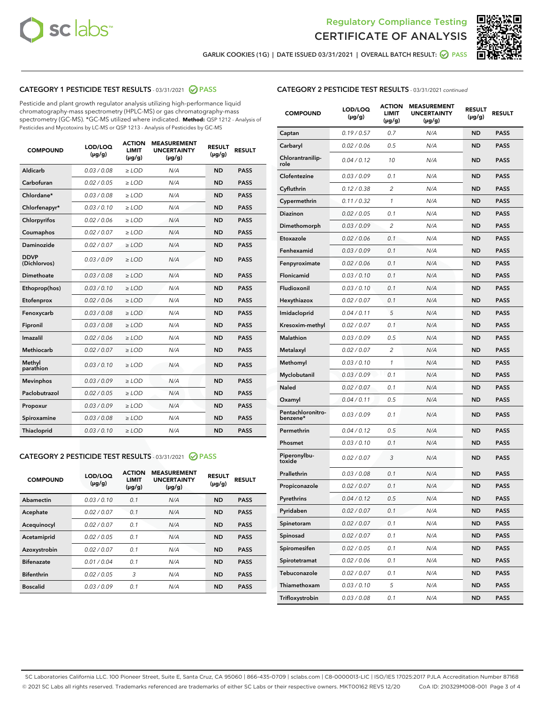



GARLIK COOKIES (1G) | DATE ISSUED 03/31/2021 | OVERALL BATCH RESULT: @ PASS

# CATEGORY 1 PESTICIDE TEST RESULTS - 03/31/2021 2 PASS

Pesticide and plant growth regulator analysis utilizing high-performance liquid chromatography-mass spectrometry (HPLC-MS) or gas chromatography-mass spectrometry (GC-MS). \*GC-MS utilized where indicated. **Method:** QSP 1212 - Analysis of Pesticides and Mycotoxins by LC-MS or QSP 1213 - Analysis of Pesticides by GC-MS

| <b>COMPOUND</b>             | LOD/LOQ<br>$(\mu g/g)$ | <b>ACTION</b><br>LIMIT<br>$(\mu g/g)$ | <b>MEASUREMENT</b><br><b>UNCERTAINTY</b><br>$(\mu g/g)$ | <b>RESULT</b><br>$(\mu g/g)$ | <b>RESULT</b> |
|-----------------------------|------------------------|---------------------------------------|---------------------------------------------------------|------------------------------|---------------|
| Aldicarb                    | 0.03 / 0.08            | $\ge$ LOD                             | N/A                                                     | <b>ND</b>                    | <b>PASS</b>   |
| Carbofuran                  | 0.02 / 0.05            | $\geq$ LOD                            | N/A                                                     | <b>ND</b>                    | <b>PASS</b>   |
| Chlordane*                  | 0.03 / 0.08            | $\ge$ LOD                             | N/A                                                     | <b>ND</b>                    | <b>PASS</b>   |
| Chlorfenapyr*               | 0.03/0.10              | $\ge$ LOD                             | N/A                                                     | <b>ND</b>                    | <b>PASS</b>   |
| Chlorpyrifos                | 0.02 / 0.06            | $\ge$ LOD                             | N/A                                                     | <b>ND</b>                    | <b>PASS</b>   |
| Coumaphos                   | 0.02 / 0.07            | $\ge$ LOD                             | N/A                                                     | <b>ND</b>                    | <b>PASS</b>   |
| Daminozide                  | 0.02/0.07              | $\ge$ LOD                             | N/A                                                     | <b>ND</b>                    | <b>PASS</b>   |
| <b>DDVP</b><br>(Dichlorvos) | 0.03/0.09              | $\ge$ LOD                             | N/A                                                     | <b>ND</b>                    | <b>PASS</b>   |
| Dimethoate                  | 0.03 / 0.08            | $>$ LOD                               | N/A                                                     | <b>ND</b>                    | <b>PASS</b>   |
| Ethoprop(hos)               | 0.03/0.10              | $\ge$ LOD                             | N/A                                                     | <b>ND</b>                    | <b>PASS</b>   |
| Etofenprox                  | 0.02/0.06              | $>$ LOD                               | N/A                                                     | <b>ND</b>                    | <b>PASS</b>   |
| Fenoxycarb                  | 0.03/0.08              | $>$ LOD                               | N/A                                                     | <b>ND</b>                    | <b>PASS</b>   |
| Fipronil                    | 0.03 / 0.08            | $>$ LOD                               | N/A                                                     | <b>ND</b>                    | <b>PASS</b>   |
| Imazalil                    | 0.02/0.06              | $>$ LOD                               | N/A                                                     | <b>ND</b>                    | <b>PASS</b>   |
| <b>Methiocarb</b>           | 0.02 / 0.07            | $\ge$ LOD                             | N/A                                                     | <b>ND</b>                    | <b>PASS</b>   |
| Methyl<br>parathion         | 0.03/0.10              | $\ge$ LOD                             | N/A                                                     | <b>ND</b>                    | <b>PASS</b>   |
| <b>Mevinphos</b>            | 0.03/0.09              | $\ge$ LOD                             | N/A                                                     | <b>ND</b>                    | <b>PASS</b>   |
| Paclobutrazol               | 0.02 / 0.05            | $\ge$ LOD                             | N/A                                                     | <b>ND</b>                    | <b>PASS</b>   |
| Propoxur                    | 0.03 / 0.09            | $\ge$ LOD                             | N/A                                                     | <b>ND</b>                    | <b>PASS</b>   |
| Spiroxamine                 | 0.03 / 0.08            | $\ge$ LOD                             | N/A                                                     | <b>ND</b>                    | <b>PASS</b>   |
| Thiacloprid                 | 0.03/0.10              | $\ge$ LOD                             | N/A                                                     | <b>ND</b>                    | <b>PASS</b>   |

#### CATEGORY 2 PESTICIDE TEST RESULTS - 03/31/2021 @ PASS

| <b>COMPOUND</b>   | LOD/LOQ<br>$(\mu g/g)$ | <b>ACTION</b><br><b>LIMIT</b><br>$(\mu g/g)$ | <b>MEASUREMENT</b><br><b>UNCERTAINTY</b><br>$(\mu g/g)$ | <b>RESULT</b><br>$(\mu g/g)$ | <b>RESULT</b> |
|-------------------|------------------------|----------------------------------------------|---------------------------------------------------------|------------------------------|---------------|
| Abamectin         | 0.03/0.10              | 0.1                                          | N/A                                                     | <b>ND</b>                    | <b>PASS</b>   |
| Acephate          | 0.02/0.07              | 0.1                                          | N/A                                                     | <b>ND</b>                    | <b>PASS</b>   |
| Acequinocyl       | 0.02/0.07              | 0.1                                          | N/A                                                     | <b>ND</b>                    | <b>PASS</b>   |
| Acetamiprid       | 0.02/0.05              | 0.1                                          | N/A                                                     | <b>ND</b>                    | <b>PASS</b>   |
| Azoxystrobin      | 0.02/0.07              | 0.1                                          | N/A                                                     | <b>ND</b>                    | <b>PASS</b>   |
| <b>Bifenazate</b> | 0.01/0.04              | 0.1                                          | N/A                                                     | <b>ND</b>                    | <b>PASS</b>   |
| <b>Bifenthrin</b> | 0.02/0.05              | 3                                            | N/A                                                     | <b>ND</b>                    | <b>PASS</b>   |
| <b>Boscalid</b>   | 0.03/0.09              | 0.1                                          | N/A                                                     | <b>ND</b>                    | <b>PASS</b>   |

|--|

| <b>COMPOUND</b>               | LOD/LOQ<br>$(\mu g/g)$ | <b>ACTION</b><br>LIMIT<br>$(\mu g/g)$ | <b>MEASUREMENT</b><br><b>UNCERTAINTY</b><br>(µg/g) | <b>RESULT</b><br>(µg/g) | <b>RESULT</b> |
|-------------------------------|------------------------|---------------------------------------|----------------------------------------------------|-------------------------|---------------|
| Captan                        | 0.19/0.57              | 0.7                                   | N/A                                                | ND                      | <b>PASS</b>   |
| Carbaryl                      | 0.02 / 0.06            | 0.5                                   | N/A                                                | ND                      | <b>PASS</b>   |
| Chlorantranilip-<br>role      | 0.04 / 0.12            | 10                                    | N/A                                                | ND                      | <b>PASS</b>   |
| Clofentezine                  | 0.03 / 0.09            | 0.1                                   | N/A                                                | ND                      | <b>PASS</b>   |
| Cyfluthrin                    | 0.12 / 0.38            | 2                                     | N/A                                                | ND                      | <b>PASS</b>   |
| Cypermethrin                  | 0.11 / 0.32            | 1                                     | N/A                                                | ND                      | <b>PASS</b>   |
| Diazinon                      | 0.02 / 0.05            | 0.1                                   | N/A                                                | ND                      | <b>PASS</b>   |
| Dimethomorph                  | 0.03 / 0.09            | 2                                     | N/A                                                | ND                      | <b>PASS</b>   |
| Etoxazole                     | 0.02 / 0.06            | 0.1                                   | N/A                                                | ND                      | <b>PASS</b>   |
| Fenhexamid                    | 0.03 / 0.09            | 0.1                                   | N/A                                                | ND                      | <b>PASS</b>   |
| Fenpyroximate                 | 0.02 / 0.06            | 0.1                                   | N/A                                                | ND                      | <b>PASS</b>   |
| Flonicamid                    | 0.03 / 0.10            | 0.1                                   | N/A                                                | ND                      | <b>PASS</b>   |
| Fludioxonil                   | 0.03 / 0.10            | 0.1                                   | N/A                                                | ND                      | <b>PASS</b>   |
| Hexythiazox                   | 0.02 / 0.07            | 0.1                                   | N/A                                                | ND                      | <b>PASS</b>   |
| Imidacloprid                  | 0.04 / 0.11            | 5                                     | N/A                                                | ND                      | <b>PASS</b>   |
| Kresoxim-methyl               | 0.02 / 0.07            | 0.1                                   | N/A                                                | ND                      | <b>PASS</b>   |
| <b>Malathion</b>              | 0.03 / 0.09            | 0.5                                   | N/A                                                | ND                      | <b>PASS</b>   |
| Metalaxyl                     | 0.02 / 0.07            | 2                                     | N/A                                                | ND                      | <b>PASS</b>   |
| Methomyl                      | 0.03 / 0.10            | 1                                     | N/A                                                | ND                      | <b>PASS</b>   |
| Myclobutanil                  | 0.03/0.09              | 0.1                                   | N/A                                                | ND                      | <b>PASS</b>   |
| Naled                         | 0.02 / 0.07            | 0.1                                   | N/A                                                | ND                      | <b>PASS</b>   |
| Oxamyl                        | 0.04 / 0.11            | 0.5                                   | N/A                                                | ND                      | <b>PASS</b>   |
| Pentachloronitro-<br>benzene* | 0.03 / 0.09            | 0.1                                   | N/A                                                | ND                      | <b>PASS</b>   |
| Permethrin                    | 0.04 / 0.12            | 0.5                                   | N/A                                                | ND                      | <b>PASS</b>   |
| Phosmet                       | 0.03 / 0.10            | 0.1                                   | N/A                                                | ND                      | PASS          |
| Piperonylbu-<br>toxide        | 0.02 / 0.07            | 3                                     | N/A                                                | ND                      | <b>PASS</b>   |
| Prallethrin                   | 0.03 / 0.08            | 0.1                                   | N/A                                                | ND                      | <b>PASS</b>   |
| Propiconazole                 | 0.02 / 0.07            | 0.1                                   | N/A                                                | ND                      | <b>PASS</b>   |
| Pyrethrins                    | 0.04 / 0.12            | 0.5                                   | N/A                                                | ND                      | PASS          |
| Pyridaben                     | 0.02 / 0.07            | 0.1                                   | N/A                                                | ND                      | <b>PASS</b>   |
| Spinetoram                    | 0.02 / 0.07            | 0.1                                   | N/A                                                | <b>ND</b>               | <b>PASS</b>   |
| Spinosad                      | 0.02 / 0.07            | 0.1                                   | N/A                                                | ND                      | <b>PASS</b>   |
| Spiromesifen                  | 0.02 / 0.05            | 0.1                                   | N/A                                                | ND                      | <b>PASS</b>   |
| Spirotetramat                 | 0.02 / 0.06            | 0.1                                   | N/A                                                | ND                      | <b>PASS</b>   |
| Tebuconazole                  | 0.02 / 0.07            | 0.1                                   | N/A                                                | ND                      | <b>PASS</b>   |
| Thiamethoxam                  | 0.03 / 0.10            | 5                                     | N/A                                                | ND                      | <b>PASS</b>   |
| Trifloxystrobin               | 0.03 / 0.08            | 0.1                                   | N/A                                                | ND                      | <b>PASS</b>   |

SC Laboratories California LLC. 100 Pioneer Street, Suite E, Santa Cruz, CA 95060 | 866-435-0709 | sclabs.com | C8-0000013-LIC | ISO/IES 17025:2017 PJLA Accreditation Number 87168 © 2021 SC Labs all rights reserved. Trademarks referenced are trademarks of either SC Labs or their respective owners. MKT00162 REV5 12/20 CoA ID: 210329M008-001 Page 3 of 4